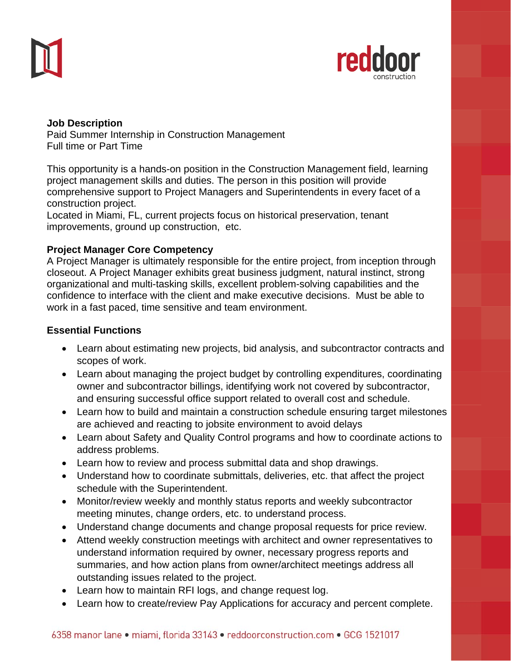



### **Job Description**  Paid Summer Internship in Construction Management Full time or Part Time

This opportunity is a hands-on position in the Construction Management field, learning project management skills and duties. The person in this position will provide comprehensive support to Project Managers and Superintendents in every facet of a construction project.

Located in Miami, FL, current projects focus on historical preservation, tenant improvements, ground up construction, etc.

# **Project Manager Core Competency**

A Project Manager is ultimately responsible for the entire project, from inception through closeout. A Project Manager exhibits great business judgment, natural instinct, strong organizational and multi-tasking skills, excellent problem-solving capabilities and the confidence to interface with the client and make executive decisions. Must be able to work in a fast paced, time sensitive and team environment.

## **Essential Functions**

- Learn about estimating new projects, bid analysis, and subcontractor contracts and scopes of work.
- Learn about managing the project budget by controlling expenditures, coordinating owner and subcontractor billings, identifying work not covered by subcontractor, and ensuring successful office support related to overall cost and schedule.
- Learn how to build and maintain a construction schedule ensuring target milestones are achieved and reacting to jobsite environment to avoid delays
- Learn about Safety and Quality Control programs and how to coordinate actions to address problems.
- Learn how to review and process submittal data and shop drawings.
- Understand how to coordinate submittals, deliveries, etc. that affect the project schedule with the Superintendent.
- Monitor/review weekly and monthly status reports and weekly subcontractor meeting minutes, change orders, etc. to understand process.
- Understand change documents and change proposal requests for price review.
- Attend weekly construction meetings with architect and owner representatives to understand information required by owner, necessary progress reports and summaries, and how action plans from owner/architect meetings address all outstanding issues related to the project.
- Learn how to maintain RFI logs, and change request log.
- Learn how to create/review Pay Applications for accuracy and percent complete.